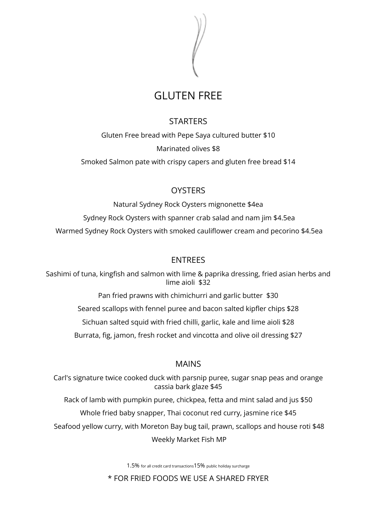

# GLUTEN FREE

### **STARTERS**

Gluten Free bread with Pepe Saya cultured butter \$10 Marinated olives \$8

Smoked Salmon pate with crispy capers and gluten free bread \$14

## **OYSTERS**

Natural Sydney Rock Oysters mignonette \$4ea Sydney Rock Oysters with spanner crab salad and nam jim \$4.5ea Warmed Sydney Rock Oysters with smoked cauliflower cream and pecorino \$4.5ea

### **FNTRFFS**

Sashimi of tuna, kingfish and salmon with lime & paprika dressing, fried asian herbs and lime aioli \$32

Pan fried prawns with chimichurri and garlic butter \$30

Seared scallops with fennel puree and bacon salted kipfler chips \$28

Sichuan salted squid with fried chilli, garlic, kale and lime aioli \$28

Burrata, fig, jamon, fresh rocket and vincotta and olive oil dressing \$27

### MAINS

Carl's signature twice cooked duck with parsnip puree, sugar snap peas and orange cassia bark glaze \$45

Rack of lamb with pumpkin puree, chickpea, fetta and mint salad and jus \$50

Whole fried baby snapper, Thai coconut red curry, jasmine rice \$45

Seafood yellow curry, with Moreton Bay bug tail, prawn, scallops and house roti \$48

Weekly Market Fish MP

1.5% for all credit card transactions15% public holiday surcharge

\* FOR FRIED FOODS WE USE A SHARED FRYER